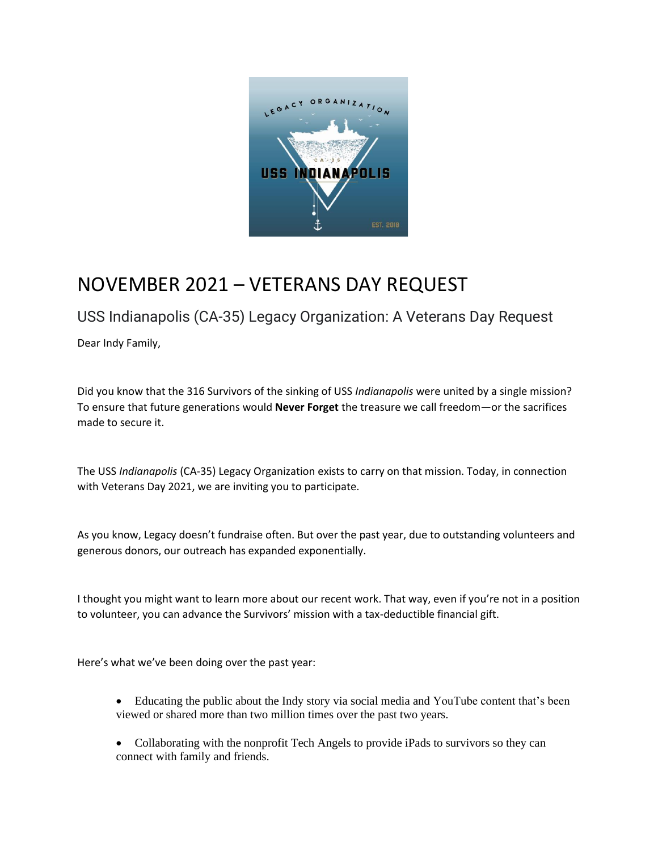

## NOVEMBER 2021 – VETERANS DAY REQUEST

## USS Indianapolis (CA-35) Legacy Organization: A Veterans Day Request

Dear Indy Family,

Did you know that the 316 Survivors of the sinking of USS *Indianapolis* were united by a single mission? To ensure that future generations would **Never Forget** the treasure we call freedom—or the sacrifices made to secure it.

The USS *Indianapolis* (CA-35) Legacy Organization exists to carry on that mission. Today, in connection with Veterans Day 2021, we are inviting you to participate.

As you know, Legacy doesn't fundraise often. But over the past year, due to outstanding volunteers and generous donors, our outreach has expanded exponentially.

I thought you might want to learn more about our recent work. That way, even if you're not in a position to volunteer, you can advance the Survivors' mission with a tax-deductible financial gift.

Here's what we've been doing over the past year:

- Educating the public about the Indy story via social media and YouTube content that's been viewed or shared more than two million times over the past two years.
- Collaborating with the nonprofit Tech Angels to provide iPads to survivors so they can connect with family and friends.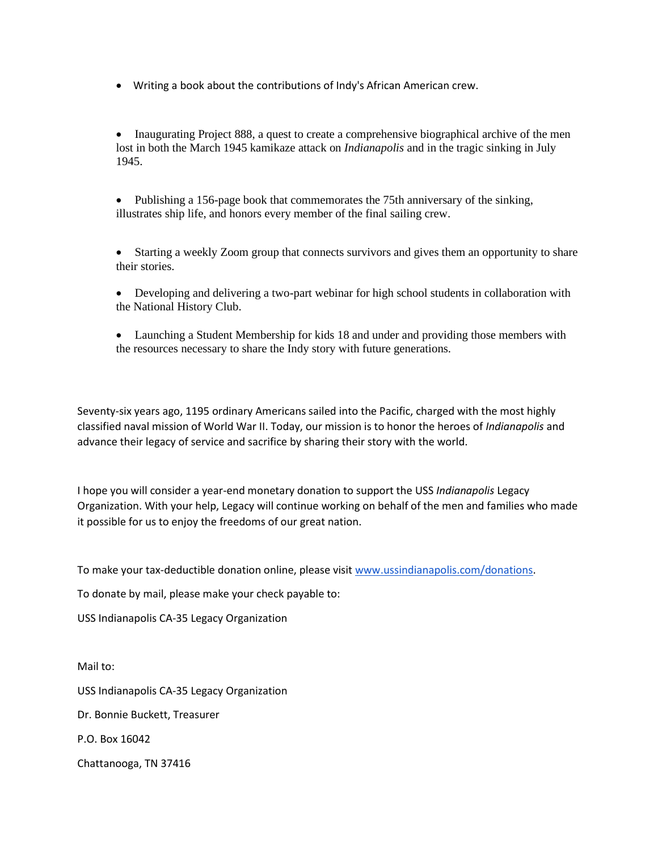• Writing a book about the contributions of Indy's African American crew.

• Inaugurating Project 888, a quest to create a comprehensive biographical archive of the men lost in both the March 1945 kamikaze attack on *Indianapolis* and in the tragic sinking in July 1945.

• Publishing a 156-page book that commemorates the 75th anniversary of the sinking, illustrates ship life, and honors every member of the final sailing crew.

• Starting a weekly Zoom group that connects survivors and gives them an opportunity to share their stories.

- Developing and delivering a two-part webinar for high school students in collaboration with the National History Club.
- Launching a Student Membership for kids 18 and under and providing those members with the resources necessary to share the Indy story with future generations.

Seventy-six years ago, 1195 ordinary Americans sailed into the Pacific, charged with the most highly classified naval mission of World War II. Today, our mission is to honor the heroes of *Indianapolis* and advance their legacy of service and sacrifice by sharing their story with the world.

I hope you will consider a year-end monetary donation to support the USS *Indianapolis* Legacy Organization. With your help, Legacy will continue working on behalf of the men and families who made it possible for us to enjoy the freedoms of our great nation.

To make your tax-deductible donation online, please visit [www.ussindianapolis.com/donations.](http://www.ussindianapolis.com/donations)

To donate by mail, please make your check payable to:

USS Indianapolis CA-35 Legacy Organization

Mail to: USS Indianapolis CA-35 Legacy Organization Dr. Bonnie Buckett, Treasurer P.O. Box 16042 Chattanooga, TN 37416